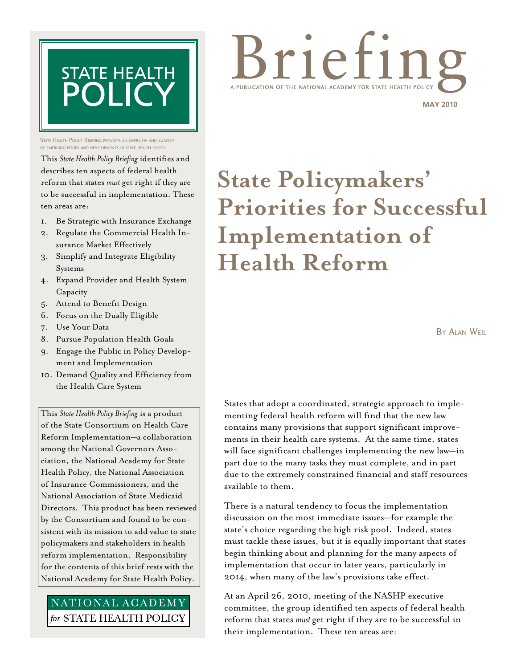

STATE HEALTH POLICY BRIEFING PROVIDES AN OVERVIEW AND ANALYSIS<br>OF EMERGING ISSUES AND DEVELOPMENTS IN STATE HEALTH POLICY of emerging issues and developments in state health policy.

This *State Health Policy Briefing* identifies and describes ten aspects of federal health reform that states *must* get right if they are to be successful in implementation. These ten areas are:

- 1. Be Strategic with Insurance Exchange
- 2. Regulate the Commercial Health In-
- surance Market Effectively
- 3. Simplify and Integrate Eligibility Systems
- 4. Expand Provider and Health System Capacity
- 5. Attend to Benefit Design
- 6. Focus on the Dually Eligible
- 7. Use Your Data
- 8. Pursue Population Health Goals
- 9. Engage the Public in Policy Development and Implementation
- 10. Demand Quality and Efficiency from the Health Care System

This *State Health Policy Briefing* is a product of the State Consortium on Health Care Reform Implementation—a collaboration among the National Governors Association, the National Academy for State Health Policy, the National Association of Insurance Commissioners, and the National Association of State Medicaid Directors. This product has been reviewed by the Consortium and found to be consistent with its mission to add value to state policymakers and stakeholders in health reform implementation. Responsibility for the contents of this brief rests with the National Academy for State Health Policy.

# NATIONAL ACADEMY for STATE HEALTH POLICY



**State Policymakers' Priorities for Successful Implementation of Health Reform**

By Alan Weil

States that adopt a coordinated, strategic approach to implementing federal health reform will find that the new law contains many provisions that support significant improvements in their health care systems. At the same time, states will face significant challenges implementing the new law—in part due to the many tasks they must complete, and in part due to the extremely constrained financial and staff resources available to them.

There is a natural tendency to focus the implementation discussion on the most immediate issues—for example the state's choice regarding the high risk pool. Indeed, states must tackle these issues, but it is equally important that states begin thinking about and planning for the many aspects of implementation that occur in later years, particularly in 2014, when many of the law's provisions take effect.

At an April 26, 2010, meeting of the NASHP executive committee, the group identified ten aspects of federal health reform that states *must* get right if they are to be successful in their implementation. These ten areas are: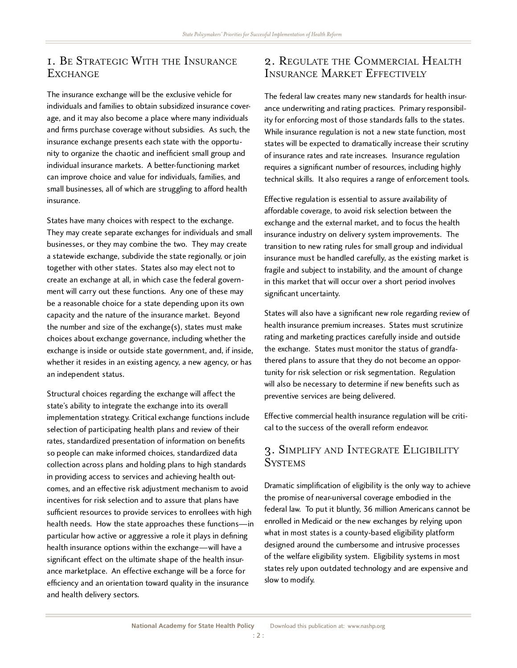#### 1. Be Strategic With the Insurance **EXCHANGE**

The insurance exchange will be the exclusive vehicle for individuals and families to obtain subsidized insurance coverage, and it may also become a place where many individuals age, and it may also become a place where many individuals and firms purchase coverage without subsidies. As such, the insurance exchange presents each state with the opportunity to organize the chaotic and inefficient small group and individual insurance markets. A better-functioning market can improve choice and value for individuals, families, and can improve choice and value for individuals, families, and small businesses, all of which are struggling to afford health.<br>. insurance.

States have many choices with respect to the exchange. They may create separate exchanges for individuals and small businesses, or they may combine the two. They may create a statewide exchange, subdivide the state regionally, or join together with other states. States also may elect not to create an exchange at all, in which case the federal governcreate an exchange at all, in which case the federal government will carry out these functions. Any one of these may be a reasonable choice for a state depending upon its own capacity and the nature of the insurance market. Beyond the number and size of the exchange(s), states must make choices about exchange governance, including whether the exchange is inside or outside state government, and, if inside, whether it resides in an existing agency, a new agency, or has an independent status.

Structural choices regarding the exchange will affect the state's ability to integrate the exchange into its overall implementation strategy. Critical exchange functions include selection of participating health plans and review of their selection of participating health plans and review of their rates, standardized presentation of information on benefits so people can make informed choices, standardized data collection across plans and holding plans to high standards<br>in providing access to services and achieving health outcomes, and an effective risk adjustment mechanism to avoid incentives for risk selection and to assure that plans have sufficient resources to provide services to enrollees with high sufficient resources to provide services to enrollees with high health needs. How the state approaches these functions—in particular how active or aggressive a role it plays in defining health insurance options within the exchange—will have a significant effect on the ultimate shape of the health insurance marketplace. An effective exchange will be a force for efficiency and an orientation toward quality in the insurance and health delivery sectors.

#### 2. Regulate the Commercial Health Insurance Market Effectively

The federal law creates many new standards for health insurance underwriting and rating practices. Primary responsibility for enforcing most of those standards falls to the states. While insurance regulation is not a new state function, most While insurance regulation is not a new state function, most states will be expected to dramatically increase their scrutiny of insurance rates and rate increases. Insurance regulation requires a significant number of resources, including highly technical skills. It also requires a range of enforcement tools.

Effective regulation is essential to assure availability of affordable coverage, to avoid risk selection between the exchange and the external market, and to focus the health exchange and the external market, and to focus the health insurance industry on delivery system improvements. The transition to new rating rules for small group and individual insurance must be handled carefully, as the existing market is fragile and subject to instability, and the amount of change fragile and subject to instability, and the amount of change in this market that will occur over a short period involves significant uncertainty.

States will also have a significant new role regarding review of health insurance premium increases. States must scrutinize health insurance premium increases. States must scrutinize rating and marketing practices carefully inside and outside the exchange. States must monitor the status of grandfa-<br>thered plans to assure that they do not become an opportunity for risk selection or risk segmentation. Regulation tunity for risk selection or risk segmentation. Regulation will also be necessary to determine if new benefits such as preventive services are being delivered.

Effective commercial health insurance regulation will be critical to the success of the overall reform endeavor.

#### 3. Simplify and Integrate Eligibility **SYSTEMS**

Dramatic simplification of eligibility is the only way to achieve the promise of near-universal coverage embodied in the federal law. To put it bluntly, 36 million Americans cannot be enrolled in Medicaid or the new exchanges by relying upon what in most states is a county-based eligibility platform designed around the cumbersome and intrusive processes of the welfare eligibility system. Eligibility systems in most states rely upon outdated technology and are expensive and slow to modify.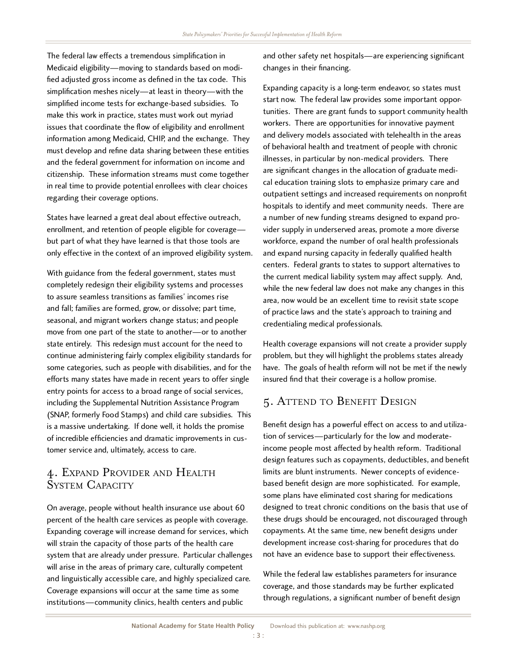The federal law effects a tremendous simplification in Medicaid eligibility—moving to standards based on modi-<br>fied adjusted gross income as defined in the tax code. This fied adjusted gross income as defined in the tax code. This simplification meshes nicely—at least in theory—with the  $\frac{1}{2}$ simplified income tests for exchange-based subsidies. To make this work in practice, states must work out myriad issues that coordinate the flow of eligibility and enrollment issues that coordinate the flow of eligibility and enrollment information among Medicaid, CHIP, and the exchange. They must develop and refine data sharing between these entities and the federal government for information on income and citizenship. These information streams must come together in real time to provide potential enrollees with clear choices regarding their coverage options.

States have learned a great deal about effective outreach,<br>enrollment, and retention of people eligible for coverage enrollment, and retention of people eligible for coverage but part of what they have learned is that those tools are only effective in the context of an improved eligibility system.

With guidance from the federal government, states must completely redesign their eligibility systems and processes to assure seamless transitions as families' incomes rise and fall; families are formed, grow, or dissolve; part time, and fall; families are formed, grow, or dissolve; part time, seasonal, and migrant workers change status; and people move from one part of the state to another—or to another state entirely. This redesign must account for the need to continue administering fairly complex eligibility standards for some categories, such as people with disabilities, and for the efforts many states have made in recent years to offer single entry points for access to a broad range of social services, entry points for access to a broad range of social services, including the Supplemental Nutrition Assistance Program (SNAP, formerly Food Stamps) and child care subsidies. This is a massive undertaking. If done well, it holds the promise of incredible efficiencies and dramatic improvements in customer service and, ultimately, access to care.

#### 4. Expand Provider and Health SYSTEM CAPACITY

On average, people without health insurance use about 60 percent of the health care services as people with coverage. Expanding coverage will increase demand for services, which will strain the capacity of those parts of the health care system that are already under pressure. Particular challenges will arise in the areas of primary care, culturally competent and linguistically accessible care, and highly specialized care. Coverage expansions will occur at the same time as some institutions—community clinics, health centers and public

and other safety net hospitals—are experiencing significant changes in their financing.

Expanding capacity is a long-term endeavor, so states must<br>start now. The federal law provides some important opporstart now. The federal law provides some important opportunities. There are grant funds to support community health workers. There are opportunities for innovative payment and delivery models associated with telehealth in the areas<br>of behavioral health and treatment of people with chronic illnesses, in particular by non-medical providers. There  $\frac{1}{2}$  illnesses, in particular by non-medical providers. There are significant changes in the allocation of graduate medical education training slots to emphasize primary care and outpatient settings and increased requirements on nonprofit hospitals to identify and meet community needs. There are a number of new funding streams designed to expand provider supply in underserved areas, promote a more diverse workforce, expand the number of oral health professionals and expand nursing capacity in federally qualified health centers. Federal grants to states to support alternatives to the current medical liability system may affect supply. And, while the new federal law does not make any changes in this area, now would be an excellent time to revisit state scope of practice laws and the state's approach to training and credentialing medical professionals.

Health coverage expansions will not create a provider supply problem, but they will highlight the problems states already have. The goals of health reform will not be met if the newly insured find that their coverage is a hollow promise.

### 5. Attend to Benefit Design

Benefit design has a powerful effect on access to and utilization of services—particularly for the low and moderateincome people most affected by health reform. Traditional design features such as copayments, deductibles, and benefit<br>limits are blunt instruments. Newer concepts of evidencelimits are blunt instruments. Newer concepts of evidencebased benefit design are more sophisticated. For example, some plans have eliminated cost sharing for medications<br>designed to treat chronic conditions on the basis that use of designed to treat chronic conditions on the basis that use of these drugs should be encouraged, not discouraged through copayments. At the same time, new benefit designs under development increase cost-sharing for procedures that do not have an evidence base to support their effectiveness.

While the federal law establishes parameters for insurance<br>coverage, and those standards may be further explicated coverage, and those standards may be further explicated through regulations, a significant number of benefit design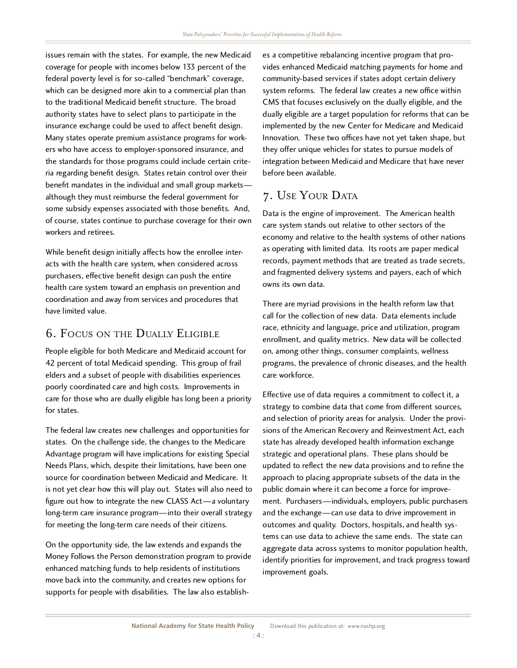issues remain with the states. For example, the new Medicaid coverage for people with incomes below 133 percent of the coverage for people with incomes below 133 percent of the federal poverty level is for so-called "benchmark" coverage, which can be designed more akin to a commercial plan than to the traditional Medicaid benefit structure. The broad authority states have to select plans to participate in the insurance exchange could be used to affect benefit design. Many states operate premium assistance programs for workers who have access to employer-sponsored insurance, and ers who have access to employer-sponsored insurance, and the standards for those programs could include certain criteria regarding benefit design. States retain control over their benefit mandates in the individual and small group markets— $\frac{1}{2}$ although they must reimburse the federal government for some subsidy expenses associated with those benefits. And, of course, states continue to purchase coverage for their own workers and retirees.

While benefit design initially affects how the enrolled life. acts with the health care system, when considered across purchasers, effective benefit design can push the entire health care system toward an emphasis on prevention and coordination and away from services and procedures that have limited value.

## 6. Focus on the Dually Eligible

People eligible for both Medicare and Medicaid account for 42 percent of total Medicaid spending. This group of frail elders and a subset of people with disabilities experiences poorly coordinated care and high costs. Improvements in care for those who are dually eligible has long been a priority for states.

The federal law creates new challenges and opportunities for states. On the challenge side, the changes to the Medicare Advantage program will have implications for existing Special Needs Plans, which, despite their limitations, have been one source for coordination between Medicaid and Medicare. It is not yet clear how this will play out. States will also need to is not yet clear how this will play out. States will also need to figure out how to integrate the new CLASS Act—a voluntary long-term care insurance program—into their overall strategy for meeting the long-term care needs of their citizens.

On the opportunity side, the law extends and expands the Money Follows the Person demonstration program to provide enhanced matching funds to help residents of institutions move back into the community, and creates new options for move back into the community, and creates new options for supports for people with disabilities. The law also establish-

es a competitive rebalancing incentive program that pro-<br>vides enhanced Medicaid matching payments for home and vides enhanced Medicaid matching payments for home and community-based services if states adopt certain delivery system reforms. The federal law creates a new office within CMS that focuses exclusively on the dually eligible, and the dually eligible are a target population for reforms that can be implemented by the new Center for Medicare and Medicaid Innovation. These two offices have not yet taken shape, but they offer unique vehicles for states to pursue models of integration between Medicaid and Medicare that have never before been available.

## 7. USE YOUR DATA

Data is the engine of improvement. The American health care system stands out relative to other sectors of the care system stands out relative to other sectors of the economy and relative to the health systems of other nations as operating with limited data. Its roots are paper medical records, payment methods that are treated as trade secrets, and fragmented delivery systems and payers, each of which owns its own data.

There are myriad provisions in the health reform law that call for the collection of new data. Data elements include race, ethnicity and language, price and utilization, program enrollment, and quality metrics. New data will be collected on, among other things, consumer complaints, wellness programs, the prevalence of chronic diseases, and the health care workforce.

Effective use of data requires a commitment to collect it, a strategy to combine data that come from different sources, and selection of priority areas for analysis. Under the proviand selection of priority areas for analysis. Under the provisions of the American Recovery and Reinvestment Act, each state has already developed health information exchange<br>strategic and operational plans. These plans should be updated to reflect the new data provisions and to refine the updated to reflect the new data provisions and to refine the approach to placing appropriate subsets of the data in the public domain where it can become a force for improvement. Purchasers—individuals, employers, public purchasers and the exchange—can use data to drive improvement in outcomes and quality. Doctors, hospitals, and health systems can use data to achieve the same ends. The state can tems can use data to achieve the same ends. The state can aggregate data across systems to monitor population health, identify priorities for improvement, and track progress toward improvement goals.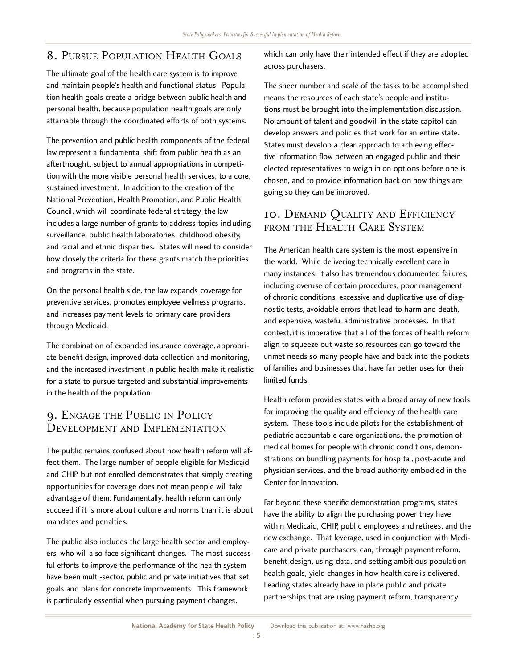# 8. Pursue Population Health Goals

The ultimate goal of the health care system is to improve and maintain people's health and functional status. Populaand maintain people's health and functional status. Population health goals create a bridge between public health and personal health, because population health goals are only attainable through the coordinated efforts of both systems.

The prevention and public health components of the federal law represent a fundamental shift from public health as an afterthought, subject to annual appropriations in competition with the more visible personal health services, to a core, sustained investment. In addition to the creation of the National Prevention. Health Promotion, and Public Health Council, which will coordinate federal strategy, the law Council, which will coordinate federal strategy, the law includes a large number of grants to address topics including surveillance, public health laboratories, childhood obesity, and racial and ethnic disparities. States will need to consider how closely the criteria for these grants match the priorities and programs in the state.

On the personal health side, the law expands coverage for preventive services, promotes employee wellness programs, and increases payment levels to primary care providers through Medicaid.

The combination of expanded insurance coverage, appropriate benefit design, improved data collection and monitoring, and the increased investment in public health make it realistic for a state to pursue targeted and substantial improvements in the health of the population.

#### 9. Engage the Public in Policy Development and Implementation

The public remains confused about how health reform will affect them. The large number of people eligible for Medicaid and CHIP but not enrolled demonstrates that simply creating opportunities for coverage does not mean people will take advantage of them. Fundamentally, health reform can only succeed if it is more about culture and norms than it is about mandates and penalties.

The public also includes the large health sector and employers, who will also face significant changes. The most successful efforts to improve the performance of the health system have been multi-sector, public and private initiatives that set have been multi-sector, public and private initiatives that set goals and plans for concrete improvements. This framework is particularly essential when pursuing payment changes,

which can only have their intended effect if they are adopted across purchasers.

The sheer number and scale of the tasks to be accomplished means the resources of each state's people and institutions must be brought into the implementation discussion. tions must be brought into the implementation discussion. No amount of talent and goodwill in the state capitol can develop answers and policies that work for an entire state.<br>States must develop a clear approach to achieving effec-States must develop a clear approach to achieving effective information flow between an engaged public and their elected representatives to weigh in on options before one is chosen, and to provide information back on how things are going so they can be improved.

## 10. Demand Quality and Efficiency FROM THE HEALTH CARE SYSTEM

The American health care system is the most expensive in the world. While delivering technically excellent care in many instances, it also has tremendous documented failures, including overuse of certain procedures, poor management including overuse of certain procedures, poor management of chronic conditions, excessive and duplicative use of diagnostic tests, avoidable errors that lead to harm and death, and expensive, wasteful administrative processes. In that context, it is imperative that all of the forces of health reform unmet needs so many people have and back into the pockets unmet needs so many people have and back into the pockets of families and businesses that have far better uses for their limited funds.

Health reform provides states with a broad array of new tools for improving the quality and efficiency of the health care system. These tools include pilots for the establishment of pediatric accountable care organizations, the promotion of medical homes for people with chronic conditions, demonmedical homes for people with chronic conditions, demonstrations on bundling payments for hospital, post-acute and physician services, and the broad authority embodied in the Center for Innovation.

Far beyond these specific demonstration programs, states have the ability to align the purchasing power they have within Medicald, CHII, public employees and retirees, and the new exchange. That leverage, used in conjunction with Medicare and private purchasers, can, through payment reform, benefit design, using data, and setting ambitious population health goals, yield changes in how health care is delivered. Leading states already have in place public and private partnerships that are using payment reform, transparency